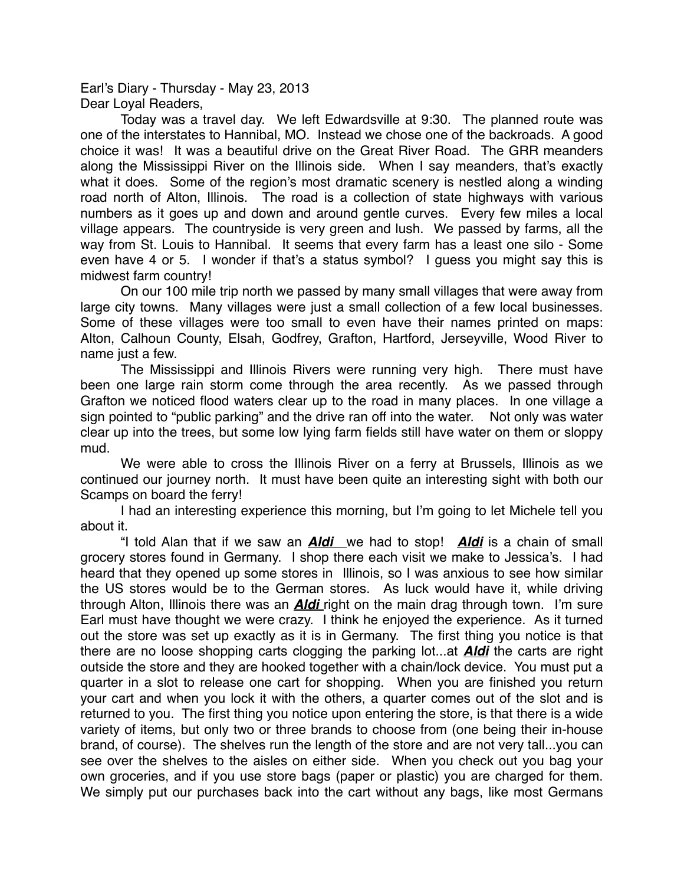Earl's Diary - Thursday - May 23, 2013 Dear Loyal Readers,

Today was a travel day. We left Edwardsville at 9:30. The planned route was one of the interstates to Hannibal, MO. Instead we chose one of the backroads. A good choice it was! It was a beautiful drive on the Great River Road. The GRR meanders along the Mississippi River on the Illinois side. When I say meanders, that's exactly what it does. Some of the region's most dramatic scenery is nestled along a winding road north of Alton, Illinois. The road is a collection of state highways with various numbers as it goes up and down and around gentle curves. Every few miles a local village appears. The countryside is very green and lush. We passed by farms, all the way from St. Louis to Hannibal. It seems that every farm has a least one silo - Some even have 4 or 5. I wonder if that's a status symbol? I guess you might say this is midwest farm country!

On our 100 mile trip north we passed by many small villages that were away from large city towns. Many villages were just a small collection of a few local businesses. Some of these villages were too small to even have their names printed on maps: Alton, Calhoun County, Elsah, Godfrey, Grafton, Hartford, Jerseyville, Wood River to name just a few.

The Mississippi and Illinois Rivers were running very high. There must have been one large rain storm come through the area recently. As we passed through Grafton we noticed flood waters clear up to the road in many places. In one village a sign pointed to "public parking" and the drive ran off into the water. Not only was water clear up into the trees, but some low lying farm fields still have water on them or sloppy mud.

We were able to cross the Illinois River on a ferry at Brussels, Illinois as we continued our journey north. It must have been quite an interesting sight with both our Scamps on board the ferry!

I had an interesting experience this morning, but I'm going to let Michele tell you about it.

"I told Alan that if we saw an *Aldi* we had to stop! *Aldi* is a chain of small grocery stores found in Germany. I shop there each visit we make to Jessica's. I had heard that they opened up some stores in Illinois, so I was anxious to see how similar the US stores would be to the German stores. As luck would have it, while driving through Alton, Illinois there was an *Aldi* right on the main drag through town. I'm sure Earl must have thought we were crazy. I think he enjoyed the experience. As it turned out the store was set up exactly as it is in Germany. The first thing you notice is that there are no loose shopping carts clogging the parking lot...at *Aldi* the carts are right outside the store and they are hooked together with a chain/lock device. You must put a quarter in a slot to release one cart for shopping. When you are finished you return your cart and when you lock it with the others, a quarter comes out of the slot and is returned to you. The first thing you notice upon entering the store, is that there is a wide variety of items, but only two or three brands to choose from (one being their in-house brand, of course). The shelves run the length of the store and are not very tall...you can see over the shelves to the aisles on either side. When you check out you bag your own groceries, and if you use store bags (paper or plastic) you are charged for them. We simply put our purchases back into the cart without any bags, like most Germans